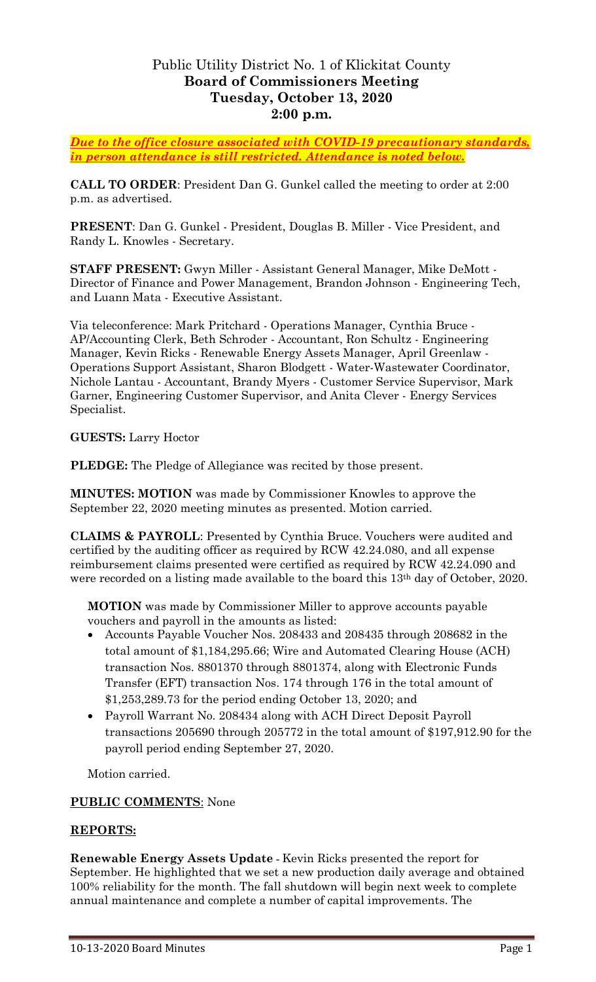## Public Utility District No. 1 of Klickitat County **Board of Commissioners Meeting Tuesday, October 13, 2020 2:00 p.m.**

*Due to the office closure associated with COVID-19 precautionary standards, in person attendance is still restricted. Attendance is noted below.*

**CALL TO ORDER**: President Dan G. Gunkel called the meeting to order at 2:00 p.m. as advertised.

**PRESENT**: Dan G. Gunkel - President, Douglas B. Miller - Vice President, and Randy L. Knowles - Secretary.

**STAFF PRESENT:** Gwyn Miller - Assistant General Manager, Mike DeMott - Director of Finance and Power Management, Brandon Johnson - Engineering Tech, and Luann Mata - Executive Assistant.

Via teleconference: Mark Pritchard - Operations Manager, Cynthia Bruce - AP/Accounting Clerk, Beth Schroder - Accountant, Ron Schultz - Engineering Manager, Kevin Ricks - Renewable Energy Assets Manager, April Greenlaw - Operations Support Assistant, Sharon Blodgett - Water-Wastewater Coordinator, Nichole Lantau - Accountant, Brandy Myers - Customer Service Supervisor, Mark Garner, Engineering Customer Supervisor, and Anita Clever - Energy Services Specialist.

**GUESTS:** Larry Hoctor

**PLEDGE:** The Pledge of Allegiance was recited by those present.

**MINUTES: MOTION** was made by Commissioner Knowles to approve the September 22, 2020 meeting minutes as presented. Motion carried.

**CLAIMS & PAYROLL**: Presented by Cynthia Bruce. Vouchers were audited and certified by the auditing officer as required by RCW 42.24.080, and all expense reimbursement claims presented were certified as required by RCW 42.24.090 and were recorded on a listing made available to the board this 13th day of October, 2020.

**MOTION** was made by Commissioner Miller to approve accounts payable vouchers and payroll in the amounts as listed:

- Accounts Payable Voucher Nos. 208433 and 208435 through 208682 in the total amount of \$1,184,295.66; Wire and Automated Clearing House (ACH) transaction Nos. 8801370 through 8801374, along with Electronic Funds Transfer (EFT) transaction Nos. 174 through 176 in the total amount of \$1,253,289.73 for the period ending October 13, 2020; and
- Payroll Warrant No. 208434 along with ACH Direct Deposit Payroll transactions 205690 through 205772 in the total amount of \$197,912.90 for the payroll period ending September 27, 2020.

Motion carried.

## **PUBLIC COMMENTS**: None

## **REPORTS:**

**Renewable Energy Assets Update -** Kevin Ricks presented the report for September. He highlighted that we set a new production daily average and obtained 100% reliability for the month. The fall shutdown will begin next week to complete annual maintenance and complete a number of capital improvements. The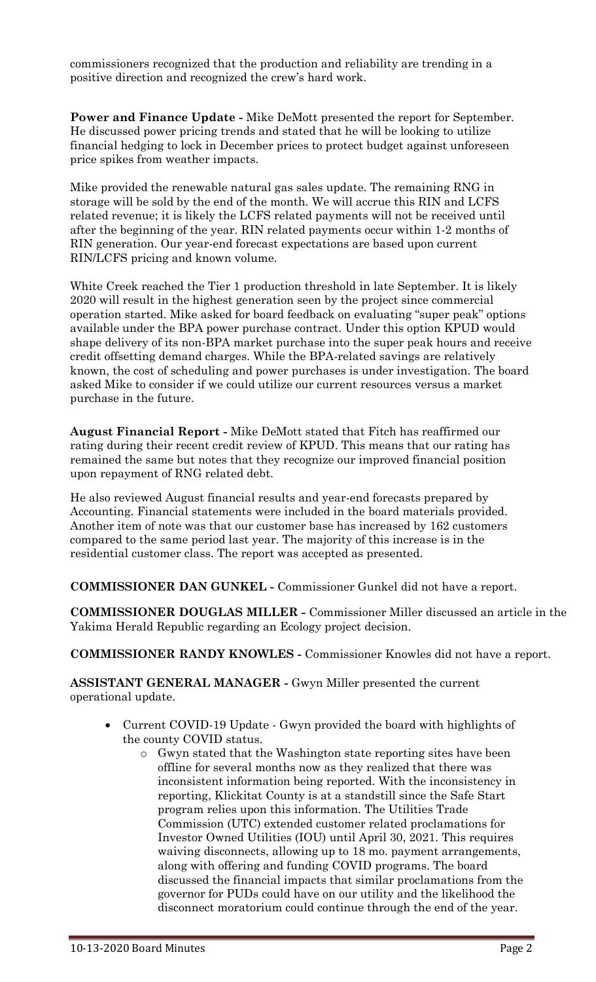commissioners recognized that the production and reliability are trending in a positive direction and recognized the crew's hard work.

**Power and Finance Update -** Mike DeMott presented the report for September. He discussed power pricing trends and stated that he will be looking to utilize financial hedging to lock in December prices to protect budget against unforeseen price spikes from weather impacts.

Mike provided the renewable natural gas sales update. The remaining RNG in storage will be sold by the end of the month. We will accrue this RIN and LCFS related revenue; it is likely the LCFS related payments will not be received until after the beginning of the year. RIN related payments occur within 1-2 months of RIN generation. Our year-end forecast expectations are based upon current RIN/LCFS pricing and known volume.

White Creek reached the Tier 1 production threshold in late September. It is likely 2020 will result in the highest generation seen by the project since commercial operation started. Mike asked for board feedback on evaluating "super peak" options available under the BPA power purchase contract. Under this option KPUD would shape delivery of its non-BPA market purchase into the super peak hours and receive credit offsetting demand charges. While the BPA-related savings are relatively known, the cost of scheduling and power purchases is under investigation. The board asked Mike to consider if we could utilize our current resources versus a market purchase in the future.

**August Financial Report -** Mike DeMott stated that Fitch has reaffirmed our rating during their recent credit review of KPUD. This means that our rating has remained the same but notes that they recognize our improved financial position upon repayment of RNG related debt.

He also reviewed August financial results and year-end forecasts prepared by Accounting. Financial statements were included in the board materials provided. Another item of note was that our customer base has increased by 162 customers compared to the same period last year. The majority of this increase is in the residential customer class. The report was accepted as presented.

**COMMISSIONER DAN GUNKEL -** Commissioner Gunkel did not have a report.

**COMMISSIONER DOUGLAS MILLER -** Commissioner Miller discussed an article in the Yakima Herald Republic regarding an Ecology project decision.

**COMMISSIONER RANDY KNOWLES -** Commissioner Knowles did not have a report.

**ASSISTANT GENERAL MANAGER -** Gwyn Miller presented the current operational update.

- Current COVID-19 Update Gwyn provided the board with highlights of the county COVID status.
	- o Gwyn stated that the Washington state reporting sites have been offline for several months now as they realized that there was inconsistent information being reported. With the inconsistency in reporting, Klickitat County is at a standstill since the Safe Start program relies upon this information. The Utilities Trade Commission (UTC) extended customer related proclamations for Investor Owned Utilities (IOU) until April 30, 2021. This requires waiving disconnects, allowing up to 18 mo. payment arrangements, along with offering and funding COVID programs. The board discussed the financial impacts that similar proclamations from the governor for PUDs could have on our utility and the likelihood the disconnect moratorium could continue through the end of the year.